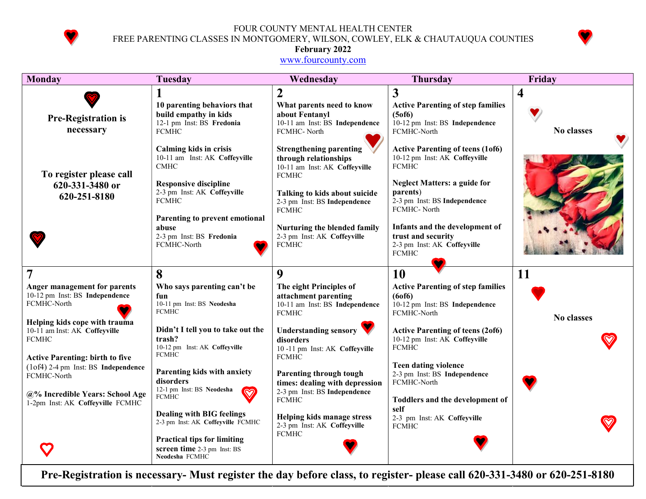

FOUR COUNTY MENTAL HEALTH CENTER FREE PARENTING CLASSES IN MONTGOMERY, WILSON, COWLEY, ELK & CHAUTAUQUA COUNTIES



## February 2022

www.fourcounty.com

| <b>Monday</b>                                                                                                     | <b>Tuesday</b>                                                                                                                                                        | Wednesday                                                                                                                                                                                                | <b>Thursday</b>                                                                                                                                                                                           | Friday     |
|-------------------------------------------------------------------------------------------------------------------|-----------------------------------------------------------------------------------------------------------------------------------------------------------------------|----------------------------------------------------------------------------------------------------------------------------------------------------------------------------------------------------------|-----------------------------------------------------------------------------------------------------------------------------------------------------------------------------------------------------------|------------|
| <b>Pre-Registration is</b>                                                                                        | 10 parenting behaviors that<br>build empathy in kids<br>12-1 pm Inst: BS Fredonia                                                                                     | $\overline{2}$<br>What parents need to know<br>about Fentanyl<br>10-11 am Inst: BS Independence                                                                                                          | 3<br><b>Active Parenting of step families</b><br>(5 <sub>0</sub> f <sub>0</sub> )<br>10-12 pm Inst: BS Independence                                                                                       | 4          |
| necessary<br>To register please call<br>620-331-3480 or<br>620-251-8180                                           | <b>FCMHC</b><br>Calming kids in crisis<br>10-11 am Inst: AK Coffeyville<br><b>CMHC</b><br><b>Responsive discipline</b><br>2-3 pm Inst: AK Coffeyville<br><b>FCMHC</b> | FCMHC-North<br><b>Strengthening parenting</b><br>through relationships<br>10-11 am Inst: AK Coffeyville<br><b>FCMHC</b><br>Talking to kids about suicide<br>2-3 pm Inst: BS Independence<br><b>FCMHC</b> | FCMHC-North<br><b>Active Parenting of teens (1of6)</b><br>10-12 pm Inst: AK Coffeyville<br><b>FCMHC</b><br><b>Neglect Matters: a guide for</b><br>parents)<br>2-3 pm Inst: BS Independence<br>FCMHC-North | No classes |
|                                                                                                                   | Parenting to prevent emotional<br>abuse<br>2-3 pm Inst: BS Fredonia<br>FCMHC-North                                                                                    | Nurturing the blended family<br>2-3 pm Inst: AK Coffeyville<br><b>FCMHC</b>                                                                                                                              | Infants and the development of<br>trust and security<br>2-3 pm Inst: AK Coffeyville<br><b>FCMHC</b>                                                                                                       |            |
| 7                                                                                                                 | 8                                                                                                                                                                     | 9                                                                                                                                                                                                        | 10                                                                                                                                                                                                        | 11         |
| Anger management for parents<br>10-12 pm Inst: BS Independence<br>FCMHC-North                                     | Who says parenting can't be<br>fun<br>10-11 pm Inst: BS Neodesha<br><b>FCMHC</b>                                                                                      | The eight Principles of<br>attachment parenting<br>10-11 am Inst: BS Independence<br><b>FCMHC</b>                                                                                                        | <b>Active Parenting of step families</b><br>(60f6)<br>10-12 pm Inst: BS Independence<br>FCMHC-North                                                                                                       | No classes |
| Helping kids cope with trauma<br>10-11 am Inst: AK Coffeyville<br>FCMHC<br><b>Active Parenting: birth to five</b> | Didn't I tell you to take out the<br>trash?<br>10-12 pm Inst: AK Coffeyville<br><b>FCMHC</b>                                                                          | <b>Understanding sensory</b><br>disorders<br>10-11 pm Inst: AK Coffeyville<br><b>FCMHC</b>                                                                                                               | <b>Active Parenting of teens (2of6)</b><br>10-12 pm Inst: AK Coffeyville<br><b>FCMHC</b>                                                                                                                  |            |
| (1of4) 2-4 pm Inst: BS Independence<br>FCMHC-North<br>@% Incredible Years: School Age                             | Parenting kids with anxiety<br>disorders<br>12-1 pm Inst: BS Neodesha<br><b>FCMHC</b>                                                                                 | Parenting through tough<br>times: dealing with depression<br>2-3 pm Inst: BS Independence<br><b>FCMHC</b>                                                                                                | <b>Teen dating violence</b><br>2-3 pm Inst: BS Independence<br>FCMHC-North<br>Toddlers and the development of                                                                                             |            |
| 1-2pm Inst: AK Coffeyville FCMHC                                                                                  | <b>Dealing with BIG feelings</b><br>2-3 pm Inst: AK Coffeyville FCMHC<br><b>Practical tips for limiting</b><br>screen time 2-3 pm Inst: BS<br>Neodesha FCMHC          | Helping kids manage stress<br>2-3 pm Inst: AK Coffeyville<br><b>FCMHC</b>                                                                                                                                | self<br>2-3 pm Inst: AK Coffeyville<br><b>FCMHC</b>                                                                                                                                                       |            |

Pre-Registration is necessary- Must register the day before class, to register- please call 620-331-3480 or 620-251-8180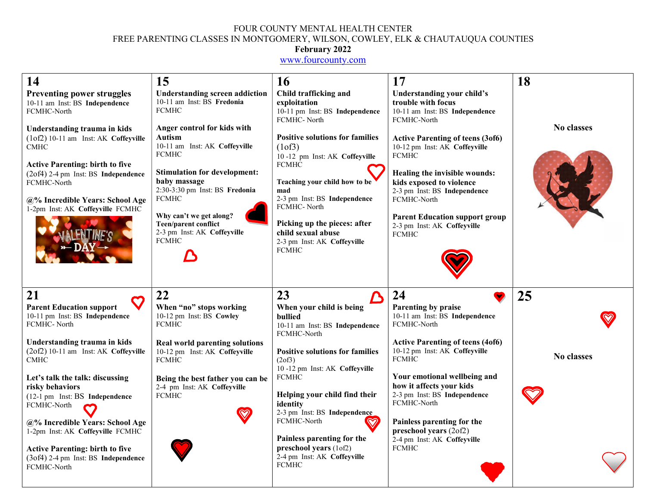### FOUR COUNTY MENTAL HEALTH CENTER FREE PARENTING CLASSES IN MONTGOMERY, WILSON, COWLEY, ELK & CHAUTAUQUA COUNTIES

#### February 2022

www.fourcounty.com

| 14                                                                                                                                                                                                                                                         | 15                                                                                                                                                                                                                                                                                                       | <b>16</b>                                                                                                                                                                                                                                                                                       | 17                                                                                                                                                                                                                                                                                           | 18                |
|------------------------------------------------------------------------------------------------------------------------------------------------------------------------------------------------------------------------------------------------------------|----------------------------------------------------------------------------------------------------------------------------------------------------------------------------------------------------------------------------------------------------------------------------------------------------------|-------------------------------------------------------------------------------------------------------------------------------------------------------------------------------------------------------------------------------------------------------------------------------------------------|----------------------------------------------------------------------------------------------------------------------------------------------------------------------------------------------------------------------------------------------------------------------------------------------|-------------------|
| <b>Preventing power struggles</b><br>10-11 am Inst: BS Independence<br>FCMHC-North                                                                                                                                                                         | <b>Understanding screen addiction</b><br>10-11 am Inst: BS Fredonia<br><b>FCMHC</b>                                                                                                                                                                                                                      | Child trafficking and<br>exploitation<br>10-11 pm Inst: BS Independence<br>FCMHC-North                                                                                                                                                                                                          | <b>Understanding your child's</b><br>trouble with focus<br>10-11 am Inst: BS Independence<br>FCMHC-North                                                                                                                                                                                     |                   |
| Understanding trauma in kids<br>(1of2) 10-11 am Inst: AK Coffeyville<br><b>CMHC</b><br><b>Active Parenting: birth to five</b><br>(2of4) 2-4 pm Inst: BS Independence<br>FCMHC-North<br>@% Incredible Years: School Age<br>1-2pm Inst: AK Coffeyville FCMHC | Anger control for kids with<br>Autism<br>10-11 am Inst: AK Coffeyville<br><b>FCMHC</b><br><b>Stimulation for development:</b><br>baby massage<br>2:30-3:30 pm Inst: BS Fredonia<br><b>FCMHC</b><br>Why can't we get along?<br><b>Teen/parent conflict</b><br>2-3 pm Inst: AK Coffeyville<br><b>FCMHC</b> | <b>Positive solutions for families</b><br>(1 of 3)<br>10-12 pm Inst: AK Coffeyville<br><b>FCMHC</b><br>Teaching your child how to be<br>mad<br>2-3 pm Inst: BS Independence<br>FCMHC-North<br>Picking up the pieces: after<br>child sexual abuse<br>2-3 pm Inst: AK Coffeyville<br><b>FCMHC</b> | <b>Active Parenting of teens (3of6)</b><br>10-12 pm Inst: AK Coffeyville<br><b>FCMHC</b><br>Healing the invisible wounds:<br>kids exposed to violence<br>2-3 pm Inst: BS Independence<br>FCMHC-North<br><b>Parent Education support group</b><br>2-3 pm Inst: AK Coffeyville<br><b>FCMHC</b> | No classes        |
| 21<br><b>Parent Education support</b>                                                                                                                                                                                                                      | 22<br>When "no" stops working                                                                                                                                                                                                                                                                            | 23<br>When your child is being                                                                                                                                                                                                                                                                  | 24<br>Parenting by praise                                                                                                                                                                                                                                                                    | 25                |
| 10-11 pm Inst: BS Independence<br>FCMHC-North                                                                                                                                                                                                              | 10-12 pm Inst: BS Cowley<br><b>FCMHC</b>                                                                                                                                                                                                                                                                 | bullied<br>10-11 am Inst: BS Independence<br>FCMHC-North                                                                                                                                                                                                                                        | 10-11 am Inst: BS Independence<br>FCMHC-North                                                                                                                                                                                                                                                |                   |
| Understanding trauma in kids<br>(2of2) 10-11 am Inst: AK Coffeyville<br><b>CMHC</b>                                                                                                                                                                        | <b>Real world parenting solutions</b><br>10-12 pm Inst: AK Coffeyville<br><b>FCMHC</b>                                                                                                                                                                                                                   | <b>Positive solutions for families</b><br>(2 <sub>0</sub> f3)<br>10-12 pm Inst: AK Coffeyville                                                                                                                                                                                                  | <b>Active Parenting of teens (4of6)</b><br>10-12 pm Inst: AK Coffeyville<br><b>FCMHC</b>                                                                                                                                                                                                     | <b>No classes</b> |
| Let's talk the talk: discussing<br>risky behaviors<br>(12-1 pm Inst: BS Independence<br>FCMHC-North                                                                                                                                                        | Being the best father you can be<br>2-4 pm Inst: AK Coffeyville<br><b>FCMHC</b>                                                                                                                                                                                                                          | FCMHC<br>Helping your child find their<br>identity                                                                                                                                                                                                                                              | Your emotional wellbeing and<br>how it affects your kids<br>2-3 pm Inst: BS Independence<br>FCMHC-North                                                                                                                                                                                      |                   |
| @% Incredible Years: School Age<br>1-2pm Inst: AK Coffeyville FCMHC                                                                                                                                                                                        |                                                                                                                                                                                                                                                                                                          | 2-3 pm Inst: BS Independence<br>FCMHC-North<br>Painless parenting for the                                                                                                                                                                                                                       | Painless parenting for the<br>preschool years (2of2)<br>2-4 pm Inst: AK Coffeyville                                                                                                                                                                                                          |                   |
| <b>Active Parenting: birth to five</b><br>(3of4) 2-4 pm Inst: BS Independence<br>FCMHC-North                                                                                                                                                               |                                                                                                                                                                                                                                                                                                          | preschool years (1of2)<br>2-4 pm Inst: AK Coffeyville<br><b>FCMHC</b>                                                                                                                                                                                                                           | <b>FCMHC</b>                                                                                                                                                                                                                                                                                 |                   |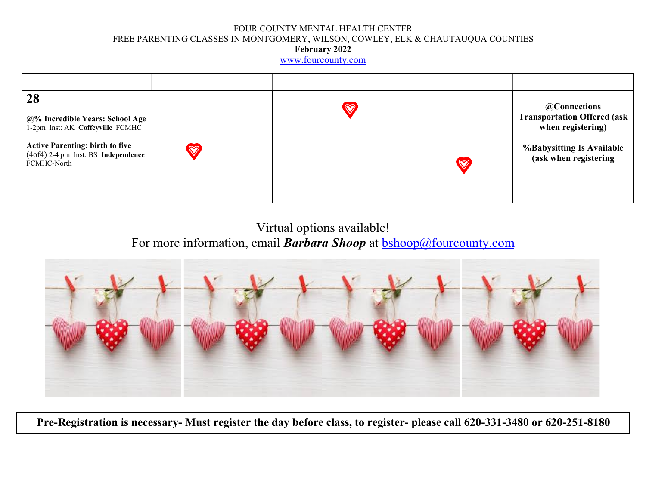#### FOUR COUNTY MENTAL HEALTH CENTER FREE PARENTING CLASSES IN MONTGOMERY, WILSON, COWLEY, ELK & CHAUTAUQUA COUNTIES February 2022

www.fourcounty.com

| 28<br>@% Incredible Years: School Age<br>1-2pm Inst: AK Coffeyville FCMHC<br><b>Active Parenting: birth to five</b><br>(4of4) 2-4 pm Inst: BS Independence<br>FCMHC-North | $\bigcirc$ | $\heartsuit$ | $\heartsuit$ | @Connections<br><b>Transportation Offered (ask</b><br>when registering)<br><b>%Babysitting Is Available</b><br>(ask when registering |
|---------------------------------------------------------------------------------------------------------------------------------------------------------------------------|------------|--------------|--------------|--------------------------------------------------------------------------------------------------------------------------------------|

Virtual options available! For more information, email **Barbara Shoop** at **bshoop@fourcounty.com** 



Pre-Registration is necessary- Must register the day before class, to register- please call 620-331-3480 or 620-251-8180